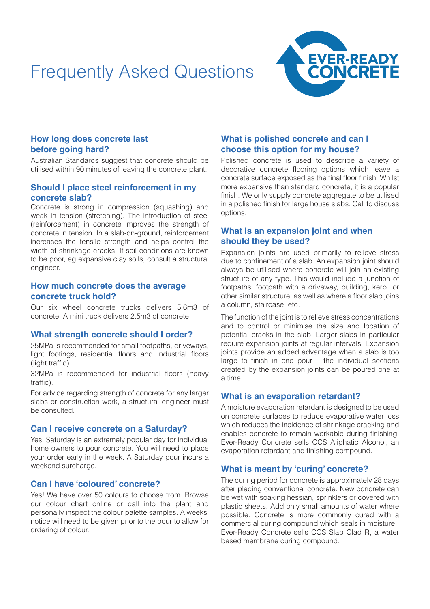# Frequently Asked Questions



# **How long does concrete last before going hard?**

Australian Standards suggest that concrete should be utilised within 90 minutes of leaving the concrete plant.

## **Should I place steel reinforcement in my concrete slab?**

Concrete is strong in compression (squashing) and weak in tension (stretching). The introduction of steel (reinforcement) in concrete improves the strength of concrete in tension. In a slab-on-ground, reinforcement increases the tensile strength and helps control the width of shrinkage cracks. If soil conditions are known to be poor, eg expansive clay soils, consult a structural engineer.

#### **How much concrete does the average concrete truck hold?**

Our six wheel concrete trucks delivers 5.6m3 of concrete. A mini truck delivers 2.5m3 of concrete.

## **What strength concrete should I order?**

25MPa is recommended for small footpaths, driveways, light footings, residential floors and industrial floors (light traffic).

32MPa is recommended for industrial floors (heavy traffic).

For advice regarding strength of concrete for any larger slabs or construction work, a structural engineer must be consulted.

## **Can I receive concrete on a Saturday?**

Yes. Saturday is an extremely popular day for individual home owners to pour concrete. You will need to place your order early in the week. A Saturday pour incurs a weekend surcharge.

## **Can I have 'coloured' concrete?**

Yes! We have over 50 colours to choose from. Browse our colour chart online or call into the plant and personally inspect the colour palette samples. A weeks' notice will need to be given prior to the pour to allow for ordering of colour.

# **What is polished concrete and can I choose this option for my house?**

Polished concrete is used to describe a variety of decorative concrete flooring options which leave a concrete surface exposed as the final floor finish. Whilst more expensive than standard concrete, it is a popular finish. We only supply concrete aggregate to be utilised in a polished finish for large house slabs. Call to discuss options.

# **What is an expansion joint and when should they be used?**

Expansion joints are used primarily to relieve stress due to confinement of a slab. An expansion joint should always be utilised where concrete will join an existing structure of any type. This would include a junction of footpaths, footpath with a driveway, building, kerb or other similar structure, as well as where a floor slab joins a column, staircase, etc.

The function of the joint is to relieve stress concentrations and to control or minimise the size and location of potential cracks in the slab. Larger slabs in particular require expansion joints at regular intervals. Expansion joints provide an added advantage when a slab is too large to finish in one pour – the individual sections created by the expansion joints can be poured one at a time.

## **What is an evaporation retardant?**

A moisture evaporation retardant is designed to be used on concrete surfaces to reduce evaporative water loss which reduces the incidence of shrinkage cracking and enables concrete to remain workable during finishing. Ever-Ready Concrete sells CCS Aliphatic Alcohol, an evaporation retardant and finishing compound.

# **What is meant by 'curing' concrete?**

The curing period for concrete is approximately 28 days after placing conventional concrete. New concrete can be wet with soaking hessian, sprinklers or covered with plastic sheets. Add only small amounts of water where possible. Concrete is more commonly cured with a commercial curing compound which seals in moisture. Ever-Ready Concrete sells CCS Slab Clad R, a water based membrane curing compound.